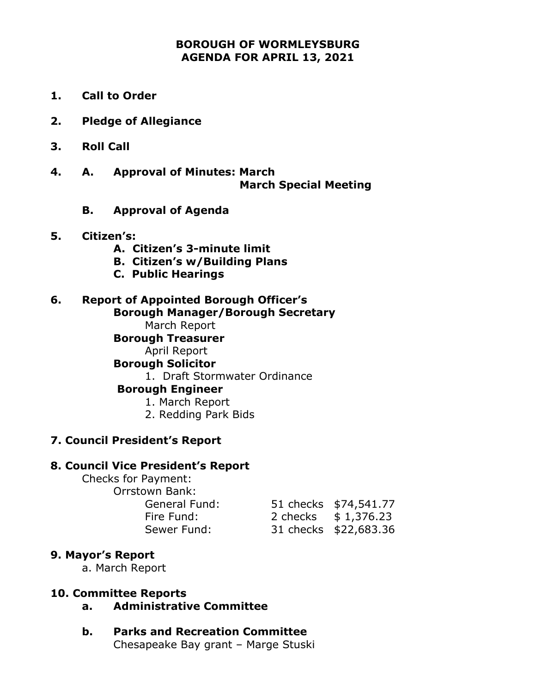## **BOROUGH OF WORMLEYSBURG AGENDA FOR APRIL 13, 2021**

- **1. Call to Order**
- **2. Pledge of Allegiance**
- **3. Roll Call**
- **4. A. Approval of Minutes: March March Special Meeting**
	- **B. Approval of Agenda**

#### **5. Citizen's:**

- **A. Citizen's 3-minute limit**
- **B. Citizen's w/Building Plans**
- **C. Public Hearings**

#### **6. Report of Appointed Borough Officer's Borough Manager/Borough Secretary**

March Report

### **Borough Treasurer**

April Report

### **Borough Solicitor**

1. Draft Stormwater Ordinance

#### **Borough Engineer**

- 1. March Report
- 2. Redding Park Bids

### **7. Council President's Report**

#### **8. Council Vice President's Report**

Checks for Payment: Orrstown Bank: General Fund: Fire Fund: Sewer Fund:

|          | 51 checks \$74,541.77 |
|----------|-----------------------|
| 2 checks | \$1,376.23            |
|          | 31 checks \$22,683.36 |

### **9. Mayor's Report**

a. March Report

### **10. Committee Reports**

- **a. Administrative Committee**
- **b. Parks and Recreation Committee** Chesapeake Bay grant – Marge Stuski